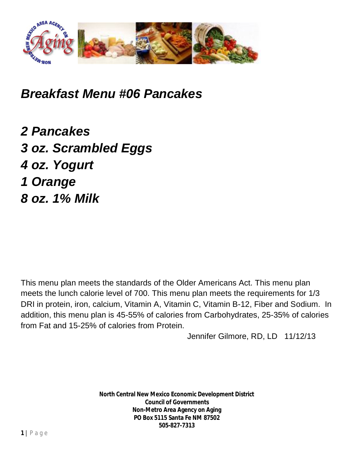

*Breakfast Menu #06 Pancakes*

*2 Pancakes 3 oz. Scrambled Eggs 4 oz. Yogurt 1 Orange 8 oz. 1% Milk*

This menu plan meets the standards of the Older Americans Act. This menu plan meets the lunch calorie level of 700. This menu plan meets the requirements for 1/3 DRI in protein, iron, calcium, Vitamin A, Vitamin C, Vitamin B-12, Fiber and Sodium. In addition, this menu plan is 45-55% of calories from Carbohydrates, 25-35% of calories from Fat and 15-25% of calories from Protein.

Jennifer Gilmore, RD, LD 11/12/13

**North Central New Mexico Economic Development District Council of Governments Non-Metro Area Agency on Aging PO Box 5115 Santa Fe NM 87502 505-827-7313**